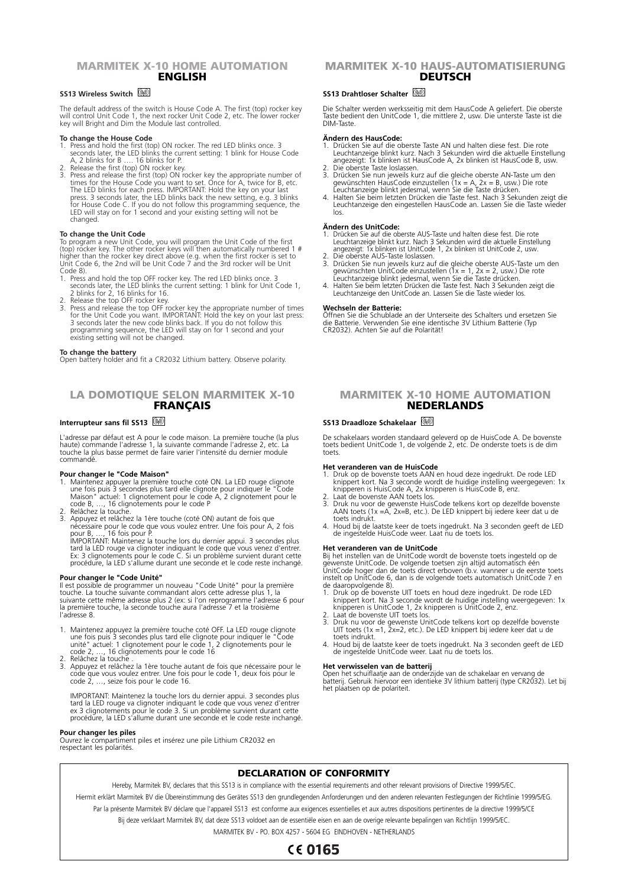# **MARMITEK X-10 HOME AUTOMATION ENGLISH**

## **SS13 Wireless Switch**

The default address of the switch is House Code A. The first (top) rocker key will control Unit Code 1, the next rocker Unit Code 2, etc. The lower rocker key will Bright and Dim the Module last controlled.

- 
- 
- **To change the House Code**<br>1. Press and hold the first (top) ON rocker. The red LED blinks once. 3<br>seconds later, the LED blinks the current setting: 1 blink for House Code<br>4, 2 blinks for B .... 16 blinks for P.<br>2. Releas LED will stay on for 1 second and your existing setting will not be changed.

### **To change the Unit Code**

To program a new Unit Code, you will program the Unit Code of the first<br>(top) rocker key. The other rocker keys will then automatically numbered 1 #<br>higher than the rocker key direct above (e.g. when the first rocker is se Code 8).

- 1. Press and hold the top OFF rocker key. The red LED blinks once. 3 seconds later, the LED blinks the current setting: 1 blink for Unit Code 1, 2 blinks for 2, 16 blinks for 16.
- 
- 2. Release the top OFF rocker key.<br>
Thes and release the top OFF rocker key the appropriate number of times<br>
for the Unit Code you want. IMPORTANT: Hold the key on your last press:<br>
3 seconds later the new code blinks back

**To change the battery** Open battery holder and fit a CR2032 Lithium battery. Observe polarity.

# **LA DOMOTIQUE SELON MARMITEK X-10 FRANÇAIS**

### **Interrupteur sans fil SS13**

L'adresse par défaut est A pour le code maison. La première touche (la plus<br>haute) commande l'adresse 1, la suivante commande l'adresse 2, etc. La<br>touche la plus basse permet de faire varier l'intensité du dernier module commandé.

- **Pour changer le "Code Maison"**<br>1. Maintenez appuyer la première touche coté ON. La LED rouge clignote<br>1. Maintenez appuyer la première touche de clignote pour indiquer le "Code<br>1. Maison" actuel: 1 clignotement pour le co code B, …, 16 clignotements pour le code P 2. Relâchez la touche.
- 3. Appuyez et relâchez la 1ère touche (coté ON) autant de fois que<br>nécessaire pour le code que vous voulez entrer. Une fois pour A, 2 fois<br>pour B, ..., 16 fois pour P.<br>IMPORTANT: Maintenez la touche lors du dernier appui.

tard la LED rouge va clignoter indiquant le code que vous venez d'entrer. Ex: 3 clignotements pour le code C. Si un problème survient durant cette procédure, la LED s'allume durant une seconde et le code reste inchangé.

## **Pour changer le "Code Unité"**

Il est possible de programmer un nouveau "Code Unité" pour la première<br>touche. La touche suivante commandant alors cette adresse plus 1, la<br>suivante cette même adresse plus 2 (ex: si l'on reprogramme l'adresse 6 pour la première touche, la seconde touche aura l'adresse 7 et la troisième l'adresse 8.

- 1. Maintenez appuyez la première touche coté OFF. La LED rouge clignote une fois puis 3 secondes plus tard elle clignote pour indiquer le "Code unité" actuel: 1 clignotement pour le code 1, 2 clignotements pour le
- code 2, ..., 16 clignotements pour le code 16<br>2. Relâchez la touche .<br>3. Appuyez et relâchez la 1ère touche autant de fois que nécessaire pour le<br>code que vous voulez entrer. Une fois pour le code 1, deux fois pour le<br>code

IMPORTANT: Maintenez la touche lors du dernier appui. 3 secondes plus<br>tard la LED rouge va clignoter indiquant le code que vous venez d'entrer<br>ex 3 clignotements pour le code 3. Si un problème survient durant cette<br>procédu

## **Pour changer les piles**

Ouvrez le compartiment piles et insérez une pile Lithium CR2032 en respectant les polarités.

# **MARMITEK X-10 HAUS-AUTOMATISIERUNG DEUTSCH**

# **SS13 Drahtloser Schalter**

Die Schalter werden werksseitig mit dem HausCode A geliefert. Die oberste Taste bedient den UnitCode 1, die mittlere 2, usw. Die unterste Taste ist die DIM-Taste.

### **Ändern des HausCode:**

- 1. Drücken Sie auf die oberste Taste AN und halten diese fest. Die rote Leuchtanzeige blinkt kurz. Nach 3 Sekunden wird die aktuelle Einstellung angezeigt: 1x blinken ist HausCode A, 2x blinken ist HausCode B, usw.
- 2. Die oberste Taste loslassen.<br>3. Drücken Sie nun jeweils kurz auf die gleiche oberste AN-Taste um den<br>gewünschten HausCode einzustellen (1x = A, 2x = B, usw.) Die rote<br>Leuchtanzeige blinkt jedesmal, wenn Sie die Taste dr
- los.

## **Ändern des UnitCode:**

- 1. Drücken Sie auf die oberste AUS-Taste und halten diese fest. Die rote Leuchtanzeige blinkt kurz. Nach 3 Sekunden wird die aktuelle Einstellung angezeigt: 1x blinken ist UnitCode 1, 2x blinken ist UnitCode 2, usw.
- 2. Die oberste AUS-Taste loslassen.<br>3. Drücken Sie nun jeweils kurz auf die gleiche oberste AUS-Taste um den gewünschten UnitCode einzustellen (1x = 1, 2x = 2, usw.) Die rote<br>4. Halten Sie beim letzten Drücken die Taste dr
- 

#### **Wechseln der Batterie:**

Öffnen Sie die Schublade an der Unterseite des Schalters und ersetzen Sie die Batterie. Verwenden Sie eine identische 3V Lithium Batterie (Typ CR2032). Achten Sie auf die Polarität!

## **MARMITEK X-10 HOME AUTOMATION NEDERLANDS**

## **SS13 Draadloze Schakelaar**

De schakelaars worden standaard geleverd op de HuisCode A. De bovenste toets bedient UnitCode 1, de volgende 2, etc. De onderste toets is de dim toets.

### **Het veranderen van de HuisCode**

- 1. Druk op de bovenste toets AAN en houd deze ingedrukt. De rode LED knippert kort. Na 3 seconde wordt de huidige instelling weergegeven: 1x
- knipperen is HuisCode A, 2x knipperen is HuisCode B, enz.<br>2. Laat de bovenste AAN toets los.<br>3. Druk nu voor de gewenste HuisCode telkens kort op dezelfde bovenste<br>AAN toets (1x =A, 2x=B, etc.). De LED knippert bij ieder toets indrukt.
- 4. Houd bij de laatste keer de toets ingedrukt. Na 3 seconden geeft de LED de ingestelde HuisCode weer. Laat nu de toets los.

**Het veranderen van de UnitCode** Bij het instellen van de UnitCode wordt de bovenste toets ingesteld op de gewenste UnitCode. De volgende toetsen zijn altijd automatisch één<br>UnitCode hoger dan de toets direct erboven (b.v. wanneer u de eerste toets<br>instelt op UnitCode 6, dan is de volgende toets automatisch UnitCode 7 en de daaropvolgende 8).

- 1. Druk op de bovenste UIT toets en houd deze ingedrukt. De rode LED knippert kort. Na 3 seconde wordt de huidige instelling weergegeven: 1x
- knipperen is UnitCode 1, 2x knipperen is UnitCode 2, enz.<br>2. Laat de bovenste UIT toets los.<br>3. Druk nu voor de gewenste UnitCode telkens kort op dezelfde bovenste<br>UIT toets (1x =1, 2x=2, etc.). De LED knippert bij iedere toets indrukt.
- 4. Houd bij de laatste keer de toets ingedrukt. Na 3 seconden geeft de LED de ingestelde UnitCode weer. Laat nu de toets los.

#### **Het verwisselen van de batterij**

Open het schuiflaatje aan de onderzijde van de schakelaar en vervang de batterij. Gebruik hiervoor een identieke 3V lithium batterij (type CR2032). Let bij het plaatsen op de polariteit.

## **DECLARATION OF CONFORMITY**

Hereby, Marmitek BV, declares that this SS13 is in compliance with the essential requirements and other relevant provisions of Directive 1999/5/EC

Hiermit erklärt Marmitek BV die Übereinstimmung des Gerätes SS13 den grundlegenden Anforderungen und den anderen relevanten Festlegungen der Richtlinie 1999/5/EG.

Par la présente Marmitek BV déclare que l'appareil SS13 est conforme aux exigences essentielles et aux autres dispositions pertinentes de la directive 1999/5/CE

Bij deze verklaart Marmitek BV, dat deze SS13 voldoet aan de essentiële eisen en aan de overige relevante bepalingen van Richtlijn 1999/5/EC.

# MARMITEK BV - PO. BOX 4257 - 5604 EG EINDHOVEN - NETHERLANDS

# **CE 0165**